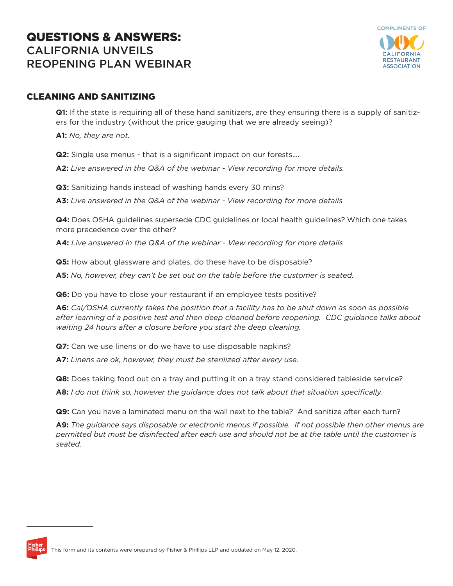# QUESTIONS & ANSWERS: CALIFORNIA UNVEILS REOPENING PLAN WEBINAR



# CLEANING AND SANITIZING

**Q1:** If the state is requiring all of these hand sanitizers, are they ensuring there is a supply of sanitizers for the industry (without the price gauging that we are already seeing)?

**A1:** *No, they are not.*

**Q2:** Single use menus - that is a significant impact on our forests….

**A2:** *Live answered in the Q&A of the webinar - View recording for more details.*

**Q3:** Sanitizing hands instead of washing hands every 30 mins?

**A3:** *Live answered in the Q&A of the webinar - View recording for more details* 

**Q4:** Does OSHA guidelines supersede CDC guidelines or local health guidelines? Which one takes more precedence over the other?

**A4:** *Live answered in the Q&A of the webinar - View recording for more details*

**Q5:** How about glassware and plates, do these have to be disposable?

**A5:** *No, however, they can't be set out on the table before the customer is seated.*

**Q6:** Do you have to close your restaurant if an employee tests positive?

**A6:** *Cal/OSHA currently takes the position that a facility has to be shut down as soon as possible after learning of a positive test and then deep cleaned before reopening. CDC guidance talks about waiting 24 hours after a closure before you start the deep cleaning.*

**Q7:** Can we use linens or do we have to use disposable napkins?

**A7:** *Linens are ok, however, they must be sterilized after every use.* 

**Q8:** Does taking food out on a tray and putting it on a tray stand considered tableside service?

**A8:** *I do not think so, however the guidance does not talk about that situation specifically.* 

**Q9:** Can you have a laminated menu on the wall next to the table? And sanitize after each turn?

**A9:** *The guidance says disposable or electronic menus if possible. If not possible then other menus are permitted but must be disinfected after each use and should not be at the table until the customer is seated.*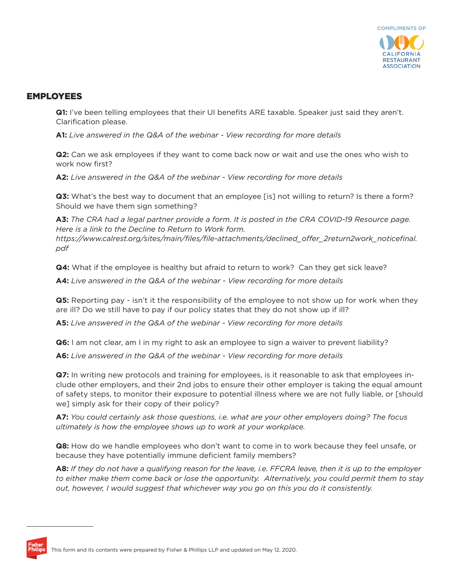

### EMPLOYEES

**Q1:** I've been telling employees that their UI benefits ARE taxable. Speaker just said they aren't. Clarification please.

**A1:** *Live answered in the Q&A of the webinar - View recording for more details* 

**Q2:** Can we ask employees if they want to come back now or wait and use the ones who wish to work now first?

**A2:** *Live answered in the Q&A of the webinar - View recording for more details* 

**Q3:** What's the best way to document that an employee [is] not willing to return? Is there a form? Should we have them sign something?

**A3:** *The CRA had a legal partner provide a form. It is posted in the CRA COVID-19 Resource page. Here is a link to the Decline to Return to Work form. https://www.calrest.org/sites/main/files/file-attachments/declined\_offer\_2return2work\_noticefinal. pdf*

**Q4:** What if the employee is healthy but afraid to return to work? Can they get sick leave?

**A4:** *Live answered in the Q&A of the webinar - View recording for more details*

**Q5:** Reporting pay - isn't it the responsibility of the employee to not show up for work when they are ill? Do we still have to pay if our policy states that they do not show up if ill?

**A5:** *Live answered in the Q&A of the webinar - View recording for more details* 

**Q6:** I am not clear, am I in my right to ask an employee to sign a waiver to prevent liability?

**A6:** *Live answered in the Q&A of the webinar - View recording for more details* 

**Q7:** In writing new protocols and training for employees, is it reasonable to ask that employees include other employers, and their 2nd jobs to ensure their other employer is taking the equal amount of safety steps, to monitor their exposure to potential illness where we are not fully liable, or [should we] simply ask for their copy of their policy?

**A7:** *You could certainly ask those questions, i.e. what are your other employers doing? The focus ultimately is how the employee shows up to work at your workplace.* 

**Q8:** How do we handle employees who don't want to come in to work because they feel unsafe, or because they have potentially immune deficient family members?

**A8:** *If they do not have a qualifying reason for the leave, i.e. FFCRA leave, then it is up to the employer to either make them come back or lose the opportunity. Alternatively, you could permit them to stay out, however, I would suggest that whichever way you go on this you do it consistently.*

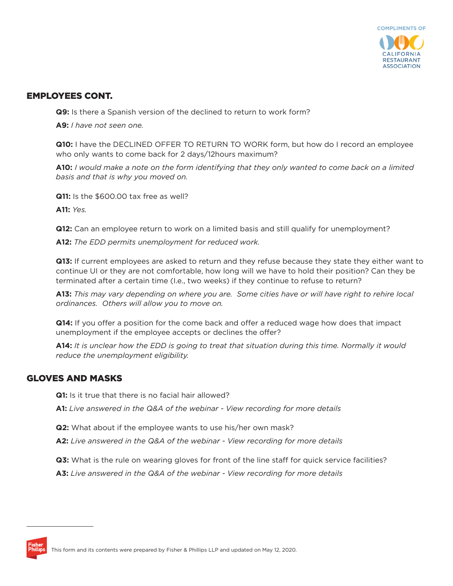

### EMPLOYEES CONT.

**Q9:** Is there a Spanish version of the declined to return to work form?

**A9:** *I have not seen one.*

**Q10:** I have the DECLINED OFFER TO RETURN TO WORK form, but how do I record an employee who only wants to come back for 2 days/12hours maximum?

**A10:** *I would make a note on the form identifying that they only wanted to come back on a limited basis and that is why you moved on.* 

**Q11:** Is the \$600.00 tax free as well?

**A11:** *Yes.*

**Q12:** Can an employee return to work on a limited basis and still qualify for unemployment?

**A12:** *The EDD permits unemployment for reduced work.* 

**Q13:** If current employees are asked to return and they refuse because they state they either want to continue UI or they are not comfortable, how long will we have to hold their position? Can they be terminated after a certain time (I.e., two weeks) if they continue to refuse to return?

**A13:** *This may vary depending on where you are. Some cities have or will have right to rehire local ordinances. Others will allow you to move on.* 

**Q14:** If you offer a position for the come back and offer a reduced wage how does that impact unemployment if the employee accepts or declines the offer?

**A14:** *It is unclear how the EDD is going to treat that situation during this time. Normally it would reduce the unemployment eligibility.* 

# GLOVES AND MASKS

**Q1:** Is it true that there is no facial hair allowed?

**A1:** *Live answered in the Q&A of the webinar - View recording for more details* 

**Q2:** What about if the employee wants to use his/her own mask?

**A2:** *Live answered in the Q&A of the webinar - View recording for more details* 

**Q3:** What is the rule on wearing gloves for front of the line staff for quick service facilities?

**A3:** *Live answered in the Q&A of the webinar - View recording for more details*

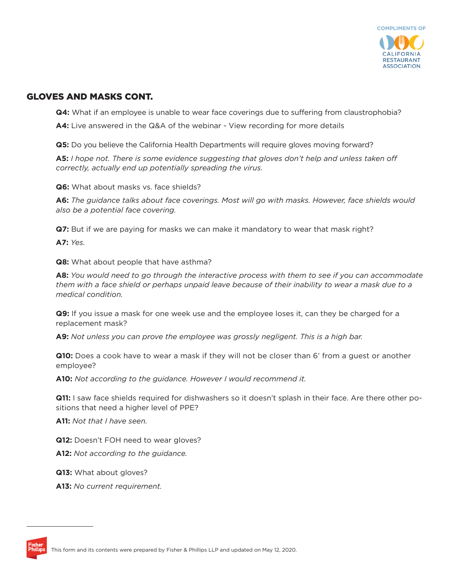

# GLOVES AND MASKS CONT.

**Q4:** What if an employee is unable to wear face coverings due to suffering from claustrophobia?

**A4:** Live answered in the Q&A of the webinar - View recording for more details

**Q5:** Do you believe the California Health Departments will require gloves moving forward?

**A5:** *I hope not. There is some evidence suggesting that gloves don't help and unless taken off correctly, actually end up potentially spreading the virus.*

**Q6:** What about masks vs. face shields?

**A6:** *The guidance talks about face coverings. Most will go with masks. However, face shields would also be a potential face covering.* 

**Q7:** But if we are paying for masks we can make it mandatory to wear that mask right?

**A7:** *Yes.* 

**Q8:** What about people that have asthma?

**A8:** *You would need to go through the interactive process with them to see if you can accommodate them with a face shield or perhaps unpaid leave because of their inability to wear a mask due to a medical condition.* 

**Q9:** If you issue a mask for one week use and the employee loses it, can they be charged for a replacement mask?

**A9:** *Not unless you can prove the employee was grossly negligent. This is a high bar.*

**Q10:** Does a cook have to wear a mask if they will not be closer than 6' from a guest or another employee?

**A10:** *Not according to the guidance. However I would recommend it.* 

**Q11:** I saw face shields required for dishwashers so it doesn't splash in their face. Are there other positions that need a higher level of PPE?

**A11:** *Not that I have seen.* 

**Q12:** Doesn't FOH need to wear gloves?

**A12:** *Not according to the guidance.*

**Q13:** What about gloves?

**A13:** *No current requirement.* 

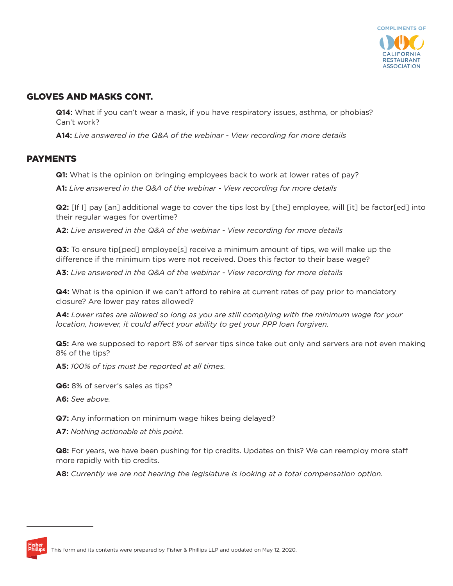

# GLOVES AND MASKS CONT.

**Q14:** What if you can't wear a mask, if you have respiratory issues, asthma, or phobias? Can't work?

**A14:** *Live answered in the Q&A of the webinar - View recording for more details* 

### PAYMENTS

**Q1:** What is the opinion on bringing employees back to work at lower rates of pay?

**A1:** *Live answered in the Q&A of the webinar - View recording for more details* 

**Q2:** [If I] pay [an] additional wage to cover the tips lost by [the] employee, will [it] be factor[ed] into their regular wages for overtime?

**A2:** *Live answered in the Q&A of the webinar - View recording for more details*

**Q3:** To ensure tip[ped] employee[s] receive a minimum amount of tips, we will make up the difference if the minimum tips were not received. Does this factor to their base wage?

**A3:** *Live answered in the Q&A of the webinar - View recording for more details* 

**Q4:** What is the opinion if we can't afford to rehire at current rates of pay prior to mandatory closure? Are lower pay rates allowed?

**A4:** *Lower rates are allowed so long as you are still complying with the minimum wage for your location, however, it could affect your ability to get your PPP loan forgiven.* 

**Q5:** Are we supposed to report 8% of server tips since take out only and servers are not even making 8% of the tips?

**A5:** *100% of tips must be reported at all times.*

**Q6:** 8% of server's sales as tips?

**A6:** *See above.* 

**Q7:** Any information on minimum wage hikes being delayed?

**A7:** *Nothing actionable at this point.*

**Q8:** For years, we have been pushing for tip credits. Updates on this? We can reemploy more staff more rapidly with tip credits.

**A8:** *Currently we are not hearing the legislature is looking at a total compensation option.*

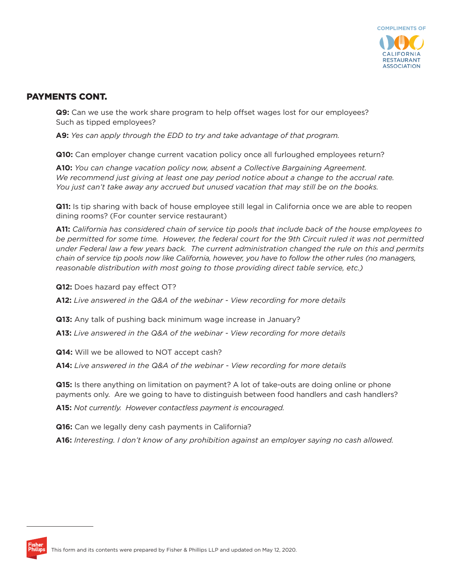

# PAYMENTS CONT.

**Q9:** Can we use the work share program to help offset wages lost for our employees? Such as tipped employees?

**A9:** *Yes can apply through the EDD to try and take advantage of that program.* 

**Q10:** Can employer change current vacation policy once all furloughed employees return?

**A10:** *You can change vacation policy now, absent a Collective Bargaining Agreement. We recommend just giving at least one pay period notice about a change to the accrual rate. You just can't take away any accrued but unused vacation that may still be on the books.*

**Q11:** Is tip sharing with back of house employee still legal in California once we are able to reopen dining rooms? (For counter service restaurant)

**A11:** *California has considered chain of service tip pools that include back of the house employees to*  be permitted for some time. However, the federal court for the 9th Circuit ruled it was not permitted *under Federal law a few years back. The current administration changed the rule on this and permits chain of service tip pools now like California, however, you have to follow the other rules (no managers, reasonable distribution with most going to those providing direct table service, etc.)*

**Q12:** Does hazard pay effect OT?

**A12:** *Live answered in the Q&A of the webinar - View recording for more details* 

**Q13:** Any talk of pushing back minimum wage increase in January?

**A13:** *Live answered in the Q&A of the webinar - View recording for more details*

**Q14:** Will we be allowed to NOT accept cash?

**A14:** *Live answered in the Q&A of the webinar - View recording for more details* 

**Q15:** Is there anything on limitation on payment? A lot of take-outs are doing online or phone payments only. Are we going to have to distinguish between food handlers and cash handlers?

**A15:** *Not currently. However contactless payment is encouraged.*

**Q16:** Can we legally deny cash payments in California?

**A16:** *Interesting. I don't know of any prohibition against an employer saying no cash allowed.*

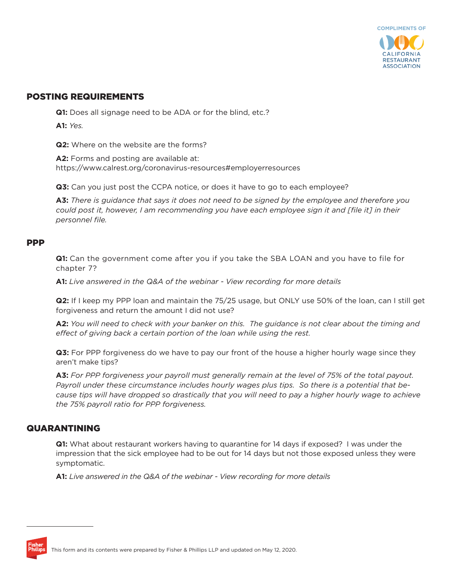

### POSTING REQUIREMENTS

**Q1:** Does all signage need to be ADA or for the blind, etc.?

**A1:** *Yes.* 

**Q2:** Where on the website are the forms?

**A2:** Forms and posting are available at: https://www.calrest.org/coronavirus-resources#employerresources

**Q3:** Can you just post the CCPA notice, or does it have to go to each employee?

**A3:** *There is guidance that says it does not need to be signed by the employee and therefore you could post it, however, I am recommending you have each employee sign it and [file it] in their personnel file.*

#### PPP

**Q1:** Can the government come after you if you take the SBA LOAN and you have to file for chapter 7?

**A1:** *Live answered in the Q&A of the webinar - View recording for more details* 

**Q2:** If I keep my PPP loan and maintain the 75/25 usage, but ONLY use 50% of the loan, can I still get forgiveness and return the amount I did not use?

**A2:** *You will need to check with your banker on this. The guidance is not clear about the timing and effect of giving back a certain portion of the loan while using the rest.*

**Q3:** For PPP forgiveness do we have to pay our front of the house a higher hourly wage since they aren't make tips?

**A3:** *For PPP forgiveness your payroll must generally remain at the level of 75% of the total payout. Payroll under these circumstance includes hourly wages plus tips. So there is a potential that because tips will have dropped so drastically that you will need to pay a higher hourly wage to achieve the 75% payroll ratio for PPP forgiveness.* 

### QUARANTINING

**Q1:** What about restaurant workers having to quarantine for 14 days if exposed? I was under the impression that the sick employee had to be out for 14 days but not those exposed unless they were symptomatic.

**A1:** *Live answered in the Q&A of the webinar - View recording for more details*

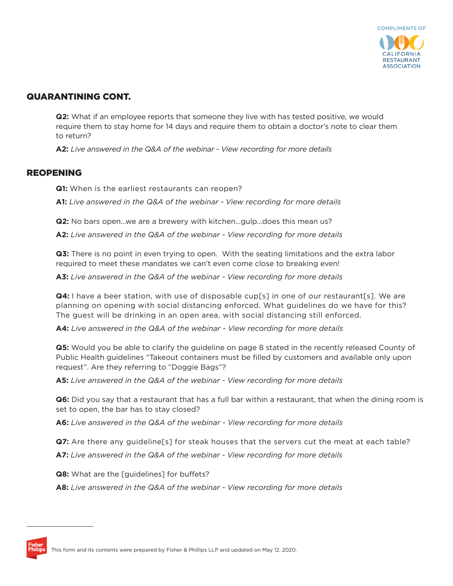

# QUARANTINING CONT.

**Q2:** What if an employee reports that someone they live with has tested positive, we would require them to stay home for 14 days and require them to obtain a doctor's note to clear them to return?

**A2:** *Live answered in the Q&A of the webinar - View recording for more details*

### REOPENING

**Q1:** When is the earliest restaurants can reopen?

**A1:** *Live answered in the Q&A of the webinar - View recording for more details* 

**Q2:** No bars open ... we are a brewery with kitchen ... quip ... does this mean us?

**A2:** *Live answered in the Q&A of the webinar - View recording for more details*

**Q3:** There is no point in even trying to open. With the seating limitations and the extra labor required to meet these mandates we can't even come close to breaking even!

**A3:** *Live answered in the Q&A of the webinar - View recording for more details*

**Q4:** I have a beer station, with use of disposable cup[s] in one of our restaurant[s]. We are planning on opening with social distancing enforced. What guidelines do we have for this? The guest will be drinking in an open area, with social distancing still enforced.

**A4:** *Live answered in the Q&A of the webinar - View recording for more details* 

**Q5:** Would you be able to clarify the guideline on page 8 stated in the recently released County of Public Health guidelines "Takeout containers must be filled by customers and available only upon request". Are they referring to "Doggie Bags"?

**A5:** *Live answered in the Q&A of the webinar - View recording for more details*

**Q6:** Did you say that a restaurant that has a full bar within a restaurant, that when the dining room is set to open, the bar has to stay closed?

**A6:** *Live answered in the Q&A of the webinar - View recording for more details*

**Q7:** Are there any guideline[s] for steak houses that the servers cut the meat at each table?

**A7:** *Live answered in the Q&A of the webinar - View recording for more details* 

**Q8:** What are the [guidelines] for buffets?

**A8:** *Live answered in the Q&A of the webinar - View recording for more details*

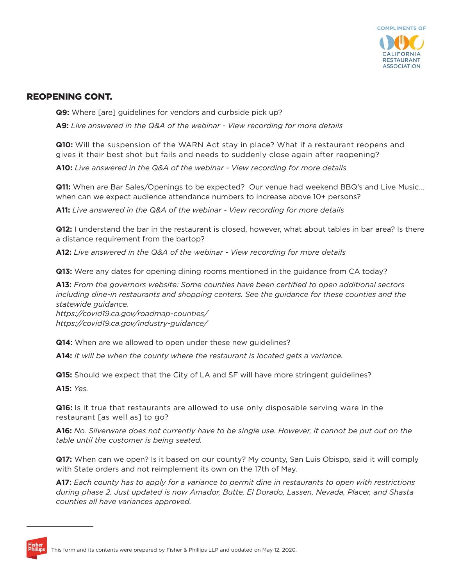

# REOPENING CONT.

**Q9:** Where [are] quidelines for vendors and curbside pick up?

**A9:** *Live answered in the Q&A of the webinar - View recording for more details*

**Q10:** Will the suspension of the WARN Act stay in place? What if a restaurant reopens and gives it their best shot but fails and needs to suddenly close again after reopening?

**A10:** *Live answered in the Q&A of the webinar - View recording for more details* 

**Q11:** When are Bar Sales/Openings to be expected? Our venue had weekend BBQ's and Live Music... when can we expect audience attendance numbers to increase above 10+ persons?

**A11:** *Live answered in the Q&A of the webinar - View recording for more details*

**Q12:** I understand the bar in the restaurant is closed, however, what about tables in bar area? Is there a distance requirement from the bartop?

**A12:** *Live answered in the Q&A of the webinar - View recording for more details*

**Q13:** Were any dates for opening dining rooms mentioned in the guidance from CA today?

**A13:** *From the governors website: Some counties have been certified to open additional sectors including dine-in restaurants and shopping centers. See the guidance for these counties and the statewide guidance.*

*https://covid19.ca.gov/roadmap-counties/ https://covid19.ca.gov/industry-guidance/* 

**Q14:** When are we allowed to open under these new guidelines?

**A14:** *It will be when the county where the restaurant is located gets a variance.* 

**Q15:** Should we expect that the City of LA and SF will have more stringent guidelines?

**A15:** *Yes.* 

**Q16:** Is it true that restaurants are allowed to use only disposable serving ware in the restaurant [as well as] to go?

**A16:** *No. Silverware does not currently have to be single use. However, it cannot be put out on the table until the customer is being seated.* 

**Q17:** When can we open? Is it based on our county? My county, San Luis Obispo, said it will comply with State orders and not reimplement its own on the 17th of May.

**A17:** *Each county has to apply for a variance to permit dine in restaurants to open with restrictions during phase 2. Just updated is now Amador, Butte, El Dorado, Lassen, Nevada, Placer, and Shasta counties all have variances approved.*

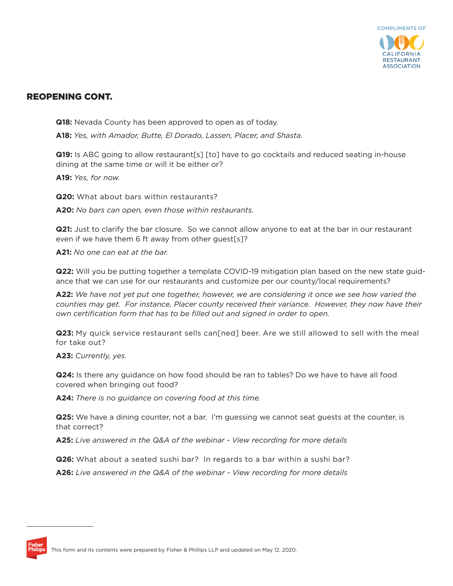

# REOPENING CONT.

**Q18:** Nevada County has been approved to open as of today.

**A18:** *Yes, with Amador, Butte, El Dorado, Lassen, Placer, and Shasta.*

**Q19:** Is ABC going to allow restaurant[s] [to] have to go cocktails and reduced seating in-house dining at the same time or will it be either or?

**A19:** *Yes, for now.*

**Q20:** What about bars within restaurants?

**A20:** *No bars can open, even those within restaurants.* 

**Q21:** Just to clarify the bar closure. So we cannot allow anyone to eat at the bar in our restaurant even if we have them 6 ft away from other guest[s]?

**A21:** *No one can eat at the bar.*

**Q22:** Will you be putting together a template COVID-19 mitigation plan based on the new state guidance that we can use for our restaurants and customize per our county/local requirements?

**A22:** *We have not yet put one together, however, we are considering it once we see how varied the counties may get. For instance, Placer county received their variance. However, they now have their own certification form that has to be filled out and signed in order to open.*

**Q23:** My quick service restaurant sells can[ned] beer. Are we still allowed to sell with the meal for take out?

**A23:** *Currently, yes.* 

**Q24:** Is there any guidance on how food should be ran to tables? Do we have to have all food covered when bringing out food?

**A24:** *There is no guidance on covering food at this time.*

**Q25:** We have a dining counter, not a bar. I'm guessing we cannot seat guests at the counter, is that correct?

**A25:** *Live answered in the Q&A of the webinar - View recording for more details*

**Q26:** What about a seated sushi bar? In regards to a bar within a sushi bar?

**A26:** *Live answered in the Q&A of the webinar - View recording for more details* 

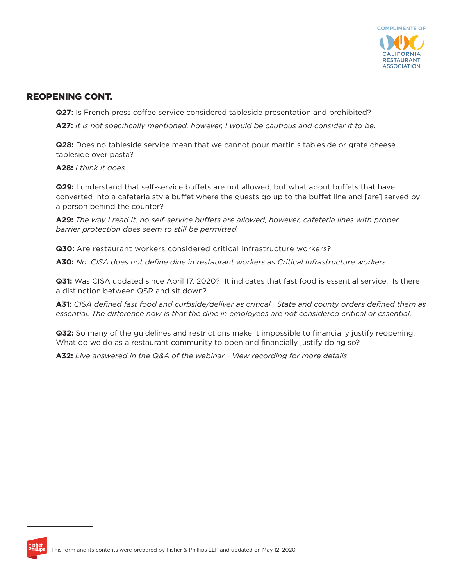

# REOPENING CONT.

**Q27:** Is French press coffee service considered tableside presentation and prohibited?

**A27:** *It is not specifically mentioned, however, I would be cautious and consider it to be.*

**Q28:** Does no tableside service mean that we cannot pour martinis tableside or grate cheese tableside over pasta?

**A28:** *I think it does.*

**Q29:** I understand that self-service buffets are not allowed, but what about buffets that have converted into a cafeteria style buffet where the guests go up to the buffet line and [are] served by a person behind the counter?

**A29:** *The way I read it, no self-service buffets are allowed, however, cafeteria lines with proper barrier protection does seem to still be permitted.*

**Q30:** Are restaurant workers considered critical infrastructure workers?

**A30:** *No. CISA does not define dine in restaurant workers as Critical Infrastructure workers.* 

**Q31:** Was CISA updated since April 17, 2020? It indicates that fast food is essential service. Is there a distinction between QSR and sit down?

**A31:** *CISA defined fast food and curbside/deliver as critical. State and county orders defined them as essential. The difference now is that the dine in employees are not considered critical or essential.*

**Q32:** So many of the guidelines and restrictions make it impossible to financially justify reopening. What do we do as a restaurant community to open and financially justify doing so?

**A32:** *Live answered in the Q&A of the webinar - View recording for more details*

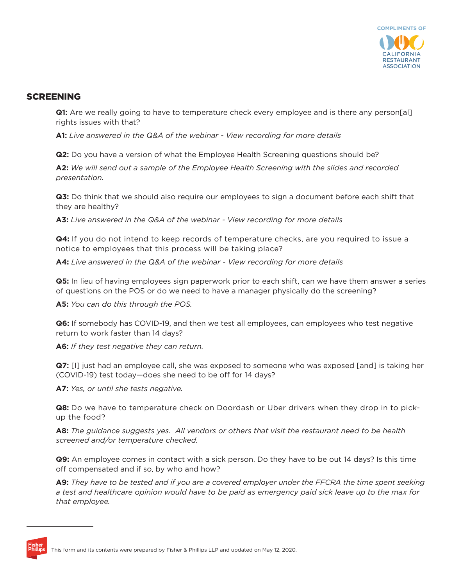

### SCREENING

**Q1:** Are we really going to have to temperature check every employee and is there any person[al] rights issues with that?

**A1:** *Live answered in the Q&A of the webinar - View recording for more details*

**Q2:** Do you have a version of what the Employee Health Screening questions should be?

**A2:** *We will send out a sample of the Employee Health Screening with the slides and recorded presentation.*

**Q3:** Do think that we should also require our employees to sign a document before each shift that they are healthy?

**A3:** *Live answered in the Q&A of the webinar - View recording for more details*

**Q4:** If you do not intend to keep records of temperature checks, are you required to issue a notice to employees that this process will be taking place?

**A4:** *Live answered in the Q&A of the webinar - View recording for more details* 

**Q5:** In lieu of having employees sign paperwork prior to each shift, can we have them answer a series of questions on the POS or do we need to have a manager physically do the screening?

**A5:** *You can do this through the POS.*

**Q6:** If somebody has COVID-19, and then we test all employees, can employees who test negative return to work faster than 14 days?

**A6:** *If they test negative they can return.*

**Q7:** [I] just had an employee call, she was exposed to someone who was exposed [and] is taking her (COVID-19) test today—does she need to be off for 14 days?

**A7:** *Yes, or until she tests negative.*

**Q8:** Do we have to temperature check on Doordash or Uber drivers when they drop in to pickup the food?

**A8:** *The guidance suggests yes. All vendors or others that visit the restaurant need to be health screened and/or temperature checked.* 

**Q9:** An employee comes in contact with a sick person. Do they have to be out 14 days? Is this time off compensated and if so, by who and how?

**A9:** *They have to be tested and if you are a covered employer under the FFCRA the time spent seeking a test and healthcare opinion would have to be paid as emergency paid sick leave up to the max for that employee.*

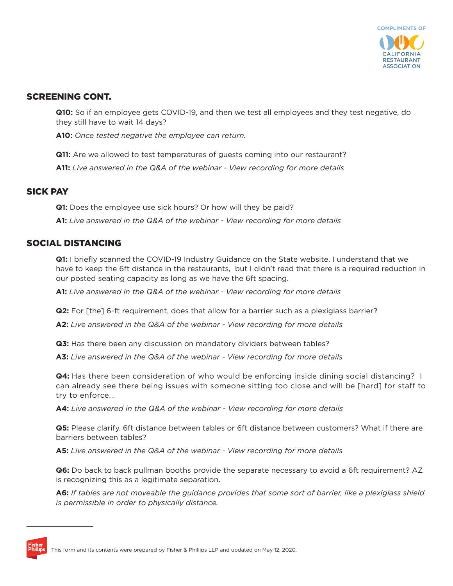

# SCREENING CONT.

**Q10:** So if an employee gets COVID-19, and then we test all employees and they test negative, do they still have to wait 14 days?

**A10:** *Once tested negative the employee can return.*

**Q11:** Are we allowed to test temperatures of guests coming into our restaurant?

**A11:** *Live answered in the Q&A of the webinar - View recording for more details*

### SICK PAY

**Q1:** Does the employee use sick hours? Or how will they be paid?

**A1:** *Live answered in the Q&A of the webinar - View recording for more details*

### SOCIAL DISTANCING

**Q1:** I briefly scanned the COVID-19 Industry Guidance on the State website. I understand that we have to keep the 6ft distance in the restaurants, but I didn't read that there is a required reduction in our posted seating capacity as long as we have the 6ft spacing.

**A1:** *Live answered in the Q&A of the webinar - View recording for more details*

**Q2:** For [the] 6-ft requirement, does that allow for a barrier such as a plexiglass barrier?

**A2:** *Live answered in the Q&A of the webinar - View recording for more details*

**Q3:** Has there been any discussion on mandatory dividers between tables?

**A3:** *Live answered in the Q&A of the webinar - View recording for more details*

**Q4:** Has there been consideration of who would be enforcing inside dining social distancing? I can already see there being issues with someone sitting too close and will be [hard] for staff to try to enforce...

**A4:** *Live answered in the Q&A of the webinar - View recording for more details* 

**Q5:** Please clarify. 6ft distance between tables or 6ft distance between customers? What if there are barriers between tables?

**A5:** *Live answered in the Q&A of the webinar - View recording for more details*

**Q6:** Do back to back pullman booths provide the separate necessary to avoid a 6ft requirement? AZ is recognizing this as a legitimate separation.

**A6:** *If tables are not moveable the guidance provides that some sort of barrier, like a plexiglass shield is permissible in order to physically distance.*